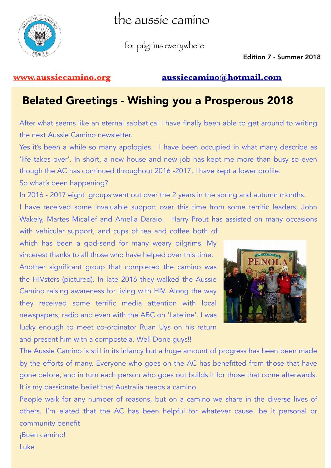

the aussie camino

for pilgrims everywhere

Edition 7 - Summer 2018

### **[www.aussiecamino.org](http://www.aussiecamino.org) [aussiecamino@hotmail.com](mailto:aussiecamino@hotmail.com)**

## Belated Greetings - Wishing you a Prosperous 2018

After what seems like an eternal sabbatical I have finally been able to get around to writing the next Aussie Camino newsletter.

Yes it's been a while so many apologies. I have been occupied in what many describe as 'life takes over'. In short, a new house and new job has kept me more than busy so even though the AC has continued throughout 2016 -2017, I have kept a lower profile.

So what's been happening?

In 2016 - 2017 eight groups went out over the 2 years in the spring and autumn months.

I have received some invaluable support over this time from some terrific leaders; John Wakely, Martes Micallef and Amelia Daraio. Harry Prout has assisted on many occasions with vehicular support, and cups of tea and coffee both of

which has been a god-send for many weary pilgrims. My sincerest thanks to all those who have helped over this time. Another significant group that completed the camino was the HIVsters (pictured). In late 2016 they walked the Aussie Camino raising awareness for living with HIV. Along the way they received some terrific media attention with local newspapers, radio and even with the ABC on 'Lateline'. I was lucky enough to meet co-ordinator Ruan Uys on his return and present him with a compostela. Well Done guys!!



The Aussie Camino is still in its infancy but a huge amount of progress has been been made by the efforts of many. Everyone who goes on the AC has benefitted from those that have gone before, and in turn each person who goes out builds it for those that come afterwards. It is my passionate belief that Australia needs a camino.

People walk for any number of reasons, but on a camino we share in the diverse lives of others. I'm elated that the AC has been helpful for whatever cause, be it personal or community benefit ¡Buen camino!

Luke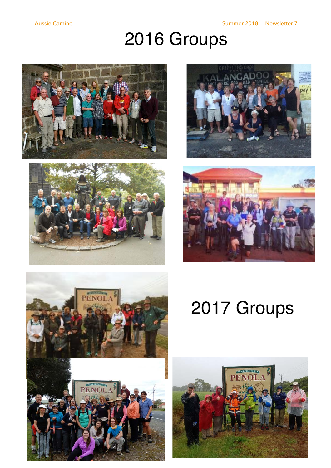# 2016 Groups











# 2017 Groups

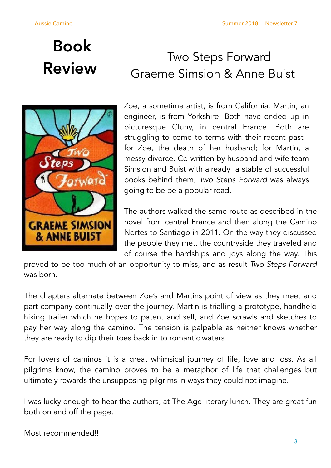# Book



# Two Steps Forward<br>Review Graeme Simsion & Anne Buist

Zoe, a sometime artist, is from California. Martin, an engineer, is from Yorkshire. Both have ended up in picturesque Cluny, in central France. Both are struggling to come to terms with their recent past for Zoe, the death of her husband; for Martin, a messy divorce. Co-written by husband and wife team Simsion and Buist with already a stable of successful books behind them, *Two Steps Forward* was always going to be be a popular read.

The authors walked the same route as described in the novel from central France and then along the Camino Nortes to Santiago in 2011. On the way they discussed the people they met, the countryside they traveled and of course the hardships and joys along the way. This

proved to be too much of an opportunity to miss, and as result *Two Steps Forward*  was born.

The chapters alternate between Zoe's and Martins point of view as they meet and part company continually over the journey. Martin is trialling a prototype, handheld hiking trailer which he hopes to patent and sell, and Zoe scrawls and sketches to pay her way along the camino. The tension is palpable as neither knows whether they are ready to dip their toes back in to romantic waters

For lovers of caminos it is a great whimsical journey of life, love and loss. As all pilgrims know, the camino proves to be a metaphor of life that challenges but ultimately rewards the unsupposing pilgrims in ways they could not imagine.

I was lucky enough to hear the authors, at The Age literary lunch. They are great fun both on and off the page.

Most recommended!!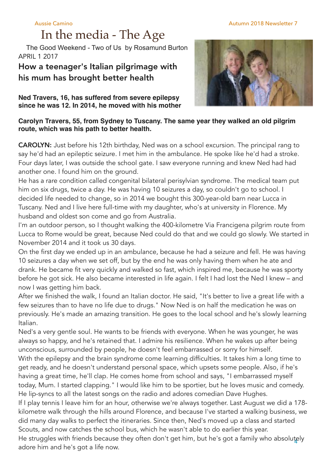# In the media - The Age

 The Good Weekend - Two of Us by Rosamund Burton APRIL 1 2017

### How a teenager's Italian pilgrimage with his mum has brought better health

**Ned Travers, 16, has suffered from severe epilepsy since he was 12. In 2014, he moved with his mother** 

### **Carolyn Travers, 55, from Sydney to Tuscany. The same year they walked an old pilgrim route, which was his path to better health.**

CAROLYN: Just before his 12th birthday, Ned was on a school excursion. The principal rang to say he'd had an epileptic seizure. I met him in the ambulance. He spoke like he'd had a stroke. Four days later, I was outside the school gate. I saw everyone running and knew Ned had had another one. I found him on the ground.

He has a rare condition called congenital bilateral perisylvian syndrome. The medical team put him on six drugs, twice a day. He was having 10 seizures a day, so couldn't go to school. I decided life needed to change, so in 2014 we bought this 300-year-old barn near Lucca in Tuscany. Ned and I live here full-time with my daughter, who's at university in Florence. My husband and oldest son come and go from Australia.

I'm an outdoor person, so I thought walking the 400-kilometre Via Francigena pilgrim route from Lucca to Rome would be great, because Ned could do that and we could go slowly. We started in November 2014 and it took us 30 days.

On the first day we ended up in an ambulance, because he had a seizure and fell. He was having 10 seizures a day when we set off, but by the end he was only having them when he ate and drank. He became fit very quickly and walked so fast, which inspired me, because he was sporty before he got sick. He also became interested in life again. I felt I had lost the Ned I knew – and now I was getting him back.

After we finished the walk, I found an Italian doctor. He said, "It's better to live a great life with a few seizures than to have no life due to drugs." Now Ned is on half the medication he was on previously. He's made an amazing transition. He goes to the local school and he's slowly learning Italian.

Ned's a very gentle soul. He wants to be friends with everyone. When he was younger, he was always so happy, and he's retained that. I admire his resilience. When he wakes up after being unconscious, surrounded by people, he doesn't feel embarrassed or sorry for himself. With the epilepsy and the brain syndrome come learning difficulties. It takes him a long time to get ready, and he doesn't understand personal space, which upsets some people. Also, if he's having a great time, he'll clap. He comes home from school and says, "I embarrassed myself today, Mum. I started clapping." I would like him to be sportier, but he loves music and comedy. He lip-syncs to all the latest songs on the radio and adores comedian Dave Hughes.

If I play tennis I leave him for an hour, otherwise we're always together. Last August we did a 178 kilometre walk through the hills around Florence, and because I've started a walking business, we did many day walks to perfect the itineraries. Since then, Ned's moved up a class and started Scouts, and now catches the school bus, which he wasn't able to do earlier this year.

He struggles with friends because they often don't get him, but he's got a family who absolutely adore him and he's got a life now.

### Aussie Camino Autumn 2018 Newsletter 7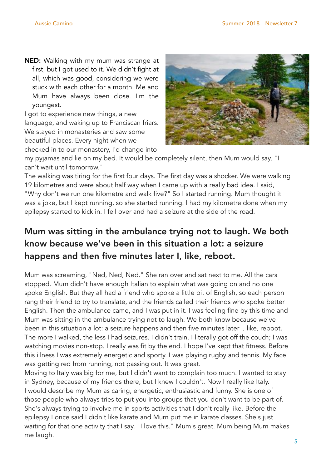NED: Walking with my mum was strange at first, but I got used to it. We didn't fight at all, which was good, considering we were stuck with each other for a month. Me and Mum have always been close. I'm the youngest.

I got to experience new things, a new language, and waking up to Franciscan friars. We stayed in monasteries and saw some beautiful places. Every night when we checked in to our monastery, I'd change into



my pyjamas and lie on my bed. It would be completely silent, then Mum would say, "I can't wait until tomorrow."

The walking was tiring for the first four days. The first day was a shocker. We were walking 19 kilometres and were about half way when I came up with a really bad idea. I said, "Why don't we run one kilometre and walk five?" So I started running. Mum thought it was a joke, but I kept running, so she started running. I had my kilometre done when my epilepsy started to kick in. I fell over and had a seizure at the side of the road.

## Mum was sitting in the ambulance trying not to laugh. We both know because we've been in this situation a lot: a seizure happens and then five minutes later I, like, reboot.

Mum was screaming, "Ned, Ned, Ned." She ran over and sat next to me. All the cars stopped. Mum didn't have enough Italian to explain what was going on and no one spoke English. But they all had a friend who spoke a little bit of English, so each person rang their friend to try to translate, and the friends called their friends who spoke better English. Then the ambulance came, and I was put in it. I was feeling fine by this time and Mum was sitting in the ambulance trying not to laugh. We both know because we've been in this situation a lot: a seizure happens and then five minutes later I, like, reboot. The more I walked, the less I had seizures. I didn't train. I literally got off the couch; I was watching movies non-stop. I really was fit by the end. I hope I've kept that fitness. Before this illness I was extremely energetic and sporty. I was playing rugby and tennis. My face was getting red from running, not passing out. It was great.

Moving to Italy was big for me, but I didn't want to complain too much. I wanted to stay in Sydney, because of my friends there, but I knew I couldn't. Now I really like Italy. I would describe my Mum as caring, energetic, enthusiastic and funny. She is one of those people who always tries to put you into groups that you don't want to be part of. She's always trying to involve me in sports activities that I don't really like. Before the epilepsy I once said I didn't like karate and Mum put me in karate classes. She's just waiting for that one activity that I say, "I love this." Mum's great. Mum being Mum makes me laugh.